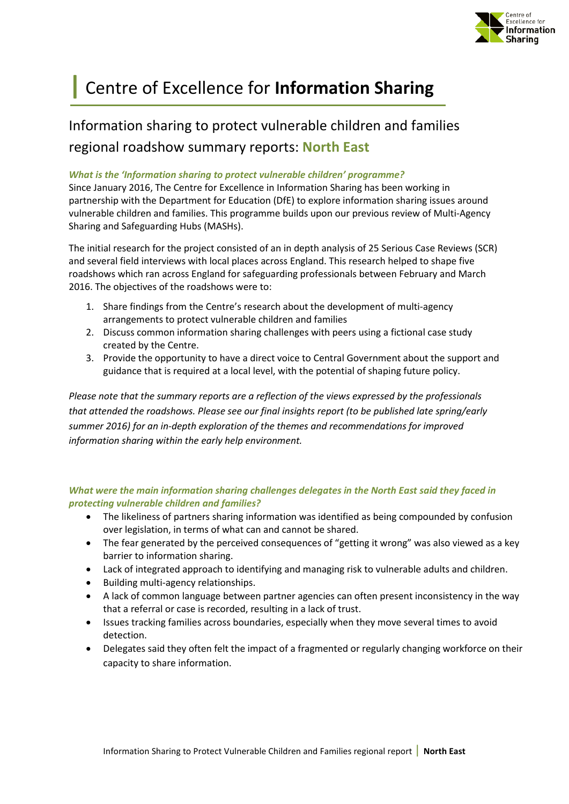

# **|** Centre of Excellence for **Information Sharing**

## Information sharing to protect vulnerable children and families regional roadshow summary reports: **North East**

#### *What is the 'Information sharing to protect vulnerable children' programme?*

Since January 2016, The Centre for Excellence in Information Sharing has been working in partnership with the Department for Education (DfE) to explore information sharing issues around vulnerable children and families. This programme builds upon our previous review of Multi-Agency Sharing and Safeguarding Hubs (MASHs).

The initial research for the project consisted of an in depth analysis of 25 Serious Case Reviews (SCR) and several field interviews with local places across England. This research helped to shape five roadshows which ran across England for safeguarding professionals between February and March 2016. The objectives of the roadshows were to:

- 1. Share findings from the Centre's research about the development of multi-agency arrangements to protect vulnerable children and families
- 2. Discuss common information sharing challenges with peers using a fictional case study created by the Centre.
- 3. Provide the opportunity to have a direct voice to Central Government about the support and guidance that is required at a local level, with the potential of shaping future policy.

*Please note that the summary reports are a reflection of the views expressed by the professionals that attended the roadshows. Please see our final insights report (to be published late spring/early summer 2016) for an in-depth exploration of the themes and recommendations for improved information sharing within the early help environment.*

#### *What were the main information sharing challenges delegates in the North East said they faced in protecting vulnerable children and families?*

- The likeliness of partners sharing information was identified as being compounded by confusion over legislation, in terms of what can and cannot be shared.
- The fear generated by the perceived consequences of "getting it wrong" was also viewed as a key barrier to information sharing.
- Lack of integrated approach to identifying and managing risk to vulnerable adults and children.
- Building multi-agency relationships.
- A lack of common language between partner agencies can often present inconsistency in the way that a referral or case is recorded, resulting in a lack of trust.
- Issues tracking families across boundaries, especially when they move several times to avoid detection.
- Delegates said they often felt the impact of a fragmented or regularly changing workforce on their capacity to share information.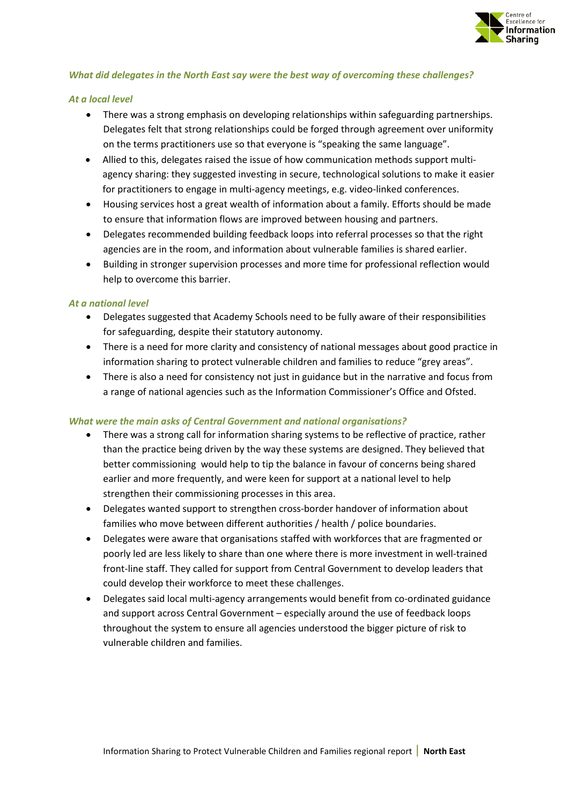

#### *What did delegates in the North East say were the best way of overcoming these challenges?*

#### *At a local level*

- There was a strong emphasis on developing relationships within safeguarding partnerships. Delegates felt that strong relationships could be forged through agreement over uniformity on the terms practitioners use so that everyone is "speaking the same language".
- Allied to this, delegates raised the issue of how communication methods support multiagency sharing: they suggested investing in secure, technological solutions to make it easier for practitioners to engage in multi-agency meetings, e.g. video-linked conferences.
- Housing services host a great wealth of information about a family. Efforts should be made to ensure that information flows are improved between housing and partners.
- Delegates recommended building feedback loops into referral processes so that the right agencies are in the room, and information about vulnerable families is shared earlier.
- Building in stronger supervision processes and more time for professional reflection would help to overcome this barrier.

#### *At a national level*

- Delegates suggested that Academy Schools need to be fully aware of their responsibilities for safeguarding, despite their statutory autonomy.
- There is a need for more clarity and consistency of national messages about good practice in information sharing to protect vulnerable children and families to reduce "grey areas".
- There is also a need for consistency not just in guidance but in the narrative and focus from a range of national agencies such as the Information Commissioner's Office and Ofsted.

#### *What were the main asks of Central Government and national organisations?*

- There was a strong call for information sharing systems to be reflective of practice, rather than the practice being driven by the way these systems are designed. They believed that better commissioning would help to tip the balance in favour of concerns being shared earlier and more frequently, and were keen for support at a national level to help strengthen their commissioning processes in this area.
- Delegates wanted support to strengthen cross-border handover of information about families who move between different authorities / health / police boundaries.
- Delegates were aware that organisations staffed with workforces that are fragmented or poorly led are less likely to share than one where there is more investment in well-trained front-line staff. They called for support from Central Government to develop leaders that could develop their workforce to meet these challenges.
- Delegates said local multi-agency arrangements would benefit from co-ordinated guidance and support across Central Government – especially around the use of feedback loops throughout the system to ensure all agencies understood the bigger picture of risk to vulnerable children and families.